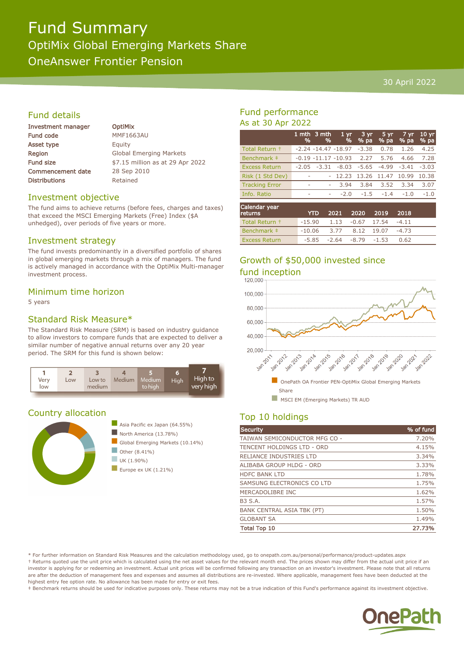# Fund Summary OptiMix Global Emerging Markets Share

OneAnswer Frontier Pension

#### 30 April 2022

# Fund details

| <b>Investment manager</b> |
|---------------------------|
| <b>Fund code</b>          |
| Asset type                |
| Region                    |
| <b>Fund size</b>          |
| <b>Commencement date</b>  |
| <b>Distributions</b>      |

**OptiMix MMF1663AU** Equity **Global Emerging Markets** \$7.15 million as at 29 Apr 2022 28 Sep 2010 Retained

#### Investment objective

The fund aims to achieve returns (before fees, charges and taxes) that exceed the MSCI Emerging Markets (Free) Index (\$A unhedged), over periods of five years or more.

### Investment strategy

The fund invests predominantly in a diversified portfolio of shares in global emerging markets through a mix of managers. The fund is actively managed in accordance with the OptiMix Multi-manager investment process.

### Minimum time horizon

5 years

# Standard Risk Measure\*

The Standard Risk Measure (SRM) is based on industry guidance to allow investors to compare funds that are expected to deliver a similar number of negative annual returns over any 20 year period. The SRM for this fund is shown below:



# Country allocation



# Fund performance As at 30 Apr 2022

|                       | %                        | 1 mth 3 mth<br>% | 1 <sub>yr</sub><br>%    | 3 yr<br>% pa | 5 yr<br>% pa | 7 yr<br>% pa | 10 <sub>yr</sub><br>% pa |
|-----------------------|--------------------------|------------------|-------------------------|--------------|--------------|--------------|--------------------------|
| Total Return +        |                          |                  | $-2.24 - 14.47 - 18.97$ | $-3.38$      | 0.78         | 1.26         | 4.25                     |
| Benchmark ‡           |                          |                  | $-0.19 - 11.17 - 10.93$ | 2.27         | 5.76         | 4.66         | 7.28                     |
| <b>Excess Return</b>  |                          | $-2.05 -3.31$    | $-8.03$                 | -5.65        | $-4.99$      | $-3.41$      | $-3.03$                  |
| Risk (1 Std Dev)      | $\overline{\phantom{a}}$ |                  | 12.23                   | 13.26 11.47  |              | 10.99        | 10.38                    |
| <b>Tracking Error</b> | $\overline{\phantom{a}}$ | ٠                | 3.94                    | 3.84         | 3.52         | 3.34         | 3.07                     |
| Info. Ratio           | ۰                        | ۰                | $-2.0$                  | $-1.5$       | $-1.4$       | $-1.0$       | $-1.0$                   |
| Calendar vear         |                          |                  |                         |              |              |              |                          |

| Calendar year<br><b>returns</b> | <b>YTD</b>                              |                                 | 2021 2020 2019 2018 |         |  |
|---------------------------------|-----------------------------------------|---------------------------------|---------------------|---------|--|
| Total Return +                  | $-15.90$ $1.13$ $-0.67$ $17.54$ $-4.11$ |                                 |                     |         |  |
| Benchmark #                     | $-10.06$ 3.77 8.12 19.07                |                                 |                     | $-4.73$ |  |
| <b>Excess Return</b>            |                                         | $-5.85$ $-2.64$ $-8.79$ $-1.53$ |                     | 0.62    |  |

# Growth of \$50,000 invested since



# Top 10 holdings

| <b>Security</b>                   | % of fund |
|-----------------------------------|-----------|
| TAIWAN SEMICONDUCTOR MFG CO -     | 7.20%     |
| TENCENT HOLDINGS LTD - ORD        | 4.15%     |
| RELIANCE INDUSTRIES LTD           | 3.34%     |
| ALIBABA GROUP HLDG - ORD          | 3.33%     |
| <b>HDFC BANK LTD</b>              | 1.78%     |
| SAMSUNG ELECTRONICS CO LTD        | 1.75%     |
| MERCADOLIBRE INC                  | 1.62%     |
| <b>B3 S.A.</b>                    | 1.57%     |
| <b>BANK CENTRAL ASIA TBK (PT)</b> | 1.50%     |
| <b>GLOBANT SA</b>                 | 1.49%     |
| <b>Total Top 10</b>               | 27.73%    |

\* For further information on Standard Risk Measures and the calculation methodology used, go to onepath.com.au/personal/performance/product-updates.aspx † Returns quoted use the unit price which is calculated using the net asset values for the relevant month end. The prices shown may differ from the actual unit price if an investor is applying for or redeeming an investment. Actual unit prices will be confirmed following any transaction on an investor's investment. Please note that all returns are after the deduction of management fees and expenses and assumes all distributions are re-invested. Where applicable, management fees have been deducted at the highest entry fee option rate. No allowance has been made for entry or exit fees.

‡ Benchmark returns should be used for indicative purposes only. These returns may not be a true indication of this Fund's performance against its investment objective.